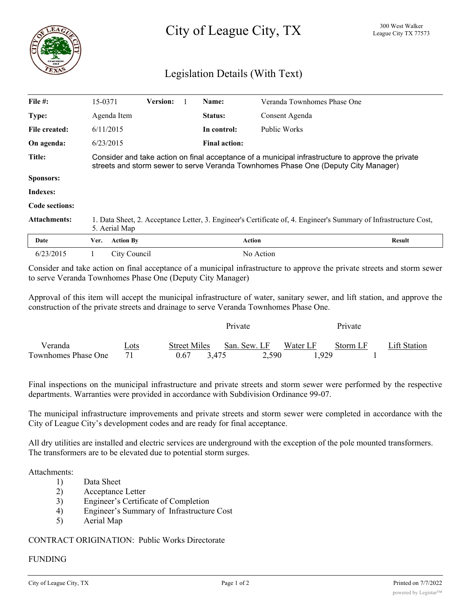# City of League City, TX <sup>300 West Walker</sup>

## Legislation Details (With Text)

| File $#$ :          | 15-0371                                                                                                                                                                                 | <b>Version:</b>  |  | Name:                | Veranda Townhomes Phase One |               |  |  |
|---------------------|-----------------------------------------------------------------------------------------------------------------------------------------------------------------------------------------|------------------|--|----------------------|-----------------------------|---------------|--|--|
| Type:               | Agenda Item                                                                                                                                                                             |                  |  | Status:              | Consent Agenda              |               |  |  |
| File created:       | 6/11/2015                                                                                                                                                                               |                  |  | In control:          | Public Works                |               |  |  |
| On agenda:          | 6/23/2015                                                                                                                                                                               |                  |  | <b>Final action:</b> |                             |               |  |  |
| Title:              | Consider and take action on final acceptance of a municipal infrastructure to approve the private<br>streets and storm sewer to serve Veranda Townhomes Phase One (Deputy City Manager) |                  |  |                      |                             |               |  |  |
| <b>Sponsors:</b>    |                                                                                                                                                                                         |                  |  |                      |                             |               |  |  |
| Indexes:            |                                                                                                                                                                                         |                  |  |                      |                             |               |  |  |
| Code sections:      |                                                                                                                                                                                         |                  |  |                      |                             |               |  |  |
| <b>Attachments:</b> | 1. Data Sheet, 2. Acceptance Letter, 3. Engineer's Certificate of, 4. Engineer's Summary of Infrastructure Cost,<br>5. Aerial Map                                                       |                  |  |                      |                             |               |  |  |
| Date                | Ver.                                                                                                                                                                                    | <b>Action By</b> |  |                      | <b>Action</b>               | <b>Result</b> |  |  |
| 6/23/2015           |                                                                                                                                                                                         | City Council     |  |                      | No Action                   |               |  |  |

Consider and take action on final acceptance of a municipal infrastructure to approve the private streets and storm sewer to serve Veranda Townhomes Phase One (Deputy City Manager)

Approval of this item will accept the municipal infrastructure of water, sanitary sewer, and lift station, and approve the construction of the private streets and drainage to serve Veranda Townhomes Phase One.

|                     |      |                     | Private                  | Private  |              |  |
|---------------------|------|---------------------|--------------------------|----------|--------------|--|
| Veranda             | Lots | <b>Street Miles</b> | Water LF<br>San. Sew. LF | Storm LF | Lift Station |  |
| Townhomes Phase One |      | 0.67<br>3.475       | 2,590                    | .929     |              |  |

Final inspections on the municipal infrastructure and private streets and storm sewer were performed by the respective departments. Warranties were provided in accordance with Subdivision Ordinance 99-07.

The municipal infrastructure improvements and private streets and storm sewer were completed in accordance with the City of League City's development codes and are ready for final acceptance.

All dry utilities are installed and electric services are underground with the exception of the pole mounted transformers. The transformers are to be elevated due to potential storm surges.

#### Attachments:

- 1) Data Sheet
- 2) Acceptance Letter
- 3) Engineer's Certificate of Completion
- 4) Engineer's Summary of Infrastructure Cost
- 5) Aerial Map

### CONTRACT ORIGINATION: Public Works Directorate

#### FUNDING